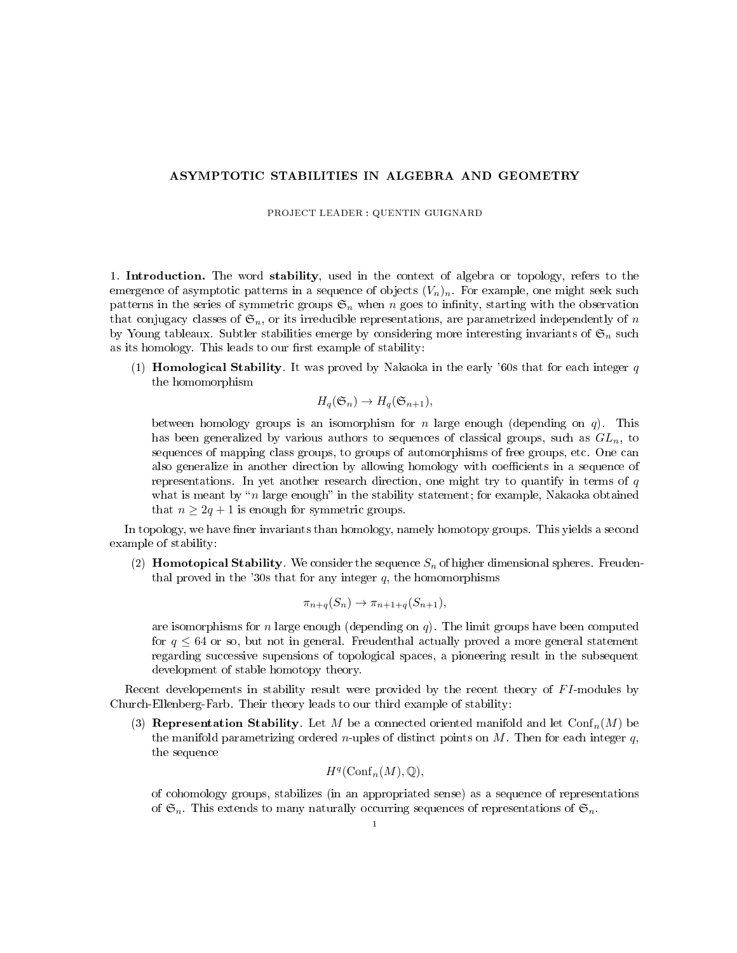## ASYMPTOTIC STABILITIES IN ALGEBRA AND GEOMETRY

PROJECT LEADER : QUENTIN GUIGNARD

1. Introduction. The word stability, used in the context of algebra or topology, refers to the emergence of asymptotic patterns in a sequence of objects  $(V_n)_n$ . For example, one might seek such patterns in the series of symmetric groups  $\mathfrak{S}_n$  when n goes to infinity, starting with the observation that conjugacy classes of  $\mathfrak{S}_n$ , or its irreducible representations, are parametrized independently of n by Young tableaux. Subtler stabilities emerge by considering more interesting invariants of  $\mathfrak{S}_n$  such as its homology. This leads to our first example of stability:

(1) **Homological Stability**. It was proved by Nakaoka in the early '60s that for each integer  $q$ the homomorphism

$$
H_q(\mathfrak{S}_n) \to H_q(\mathfrak{S}_{n+1}),
$$

between homology groups is an isomorphism for n large enough (depending on  $q$ ). This has been generalized by various authors to sequences of classical groups, such as  $GL_n$ , to sequences of mapping class groups, to groups of automorphisms of free groups, etc. One can also generalize in another direction by allowing homology with coefficients in a sequence of representations. In yet another research direction, one might try to quantify in terms of  $q$ what is meant by " $n$  large enough" in the stability statement; for example, Nakaoka obtained that  $n \geq 2q + 1$  is enough for symmetric groups.

In topology, we have finer invariants than homology, namely homotopy groups. This yields a second example of stability:

(2) **Homotopical Stability**. We consider the sequence  $S_n$  of higher dimensional spheres. Freudenthal proved in the '30s that for any integer  $q$ , the homomorphisms

$$
\pi_{n+q}(S_n) \to \pi_{n+1+q}(S_{n+1}),
$$

are isomorphisms for n large enough (depending on  $q$ ). The limit groups have been computed for  $q \leq 64$  or so, but not in general. Freudenthal actually proved a more general statement regarding successive supensions of topological spaces, a pioneering result in the subsequent development of stable homotopy theory.

Recent developements in stability result were provided by the recent theory of FI-modules by Church-Ellenberg-Farb. Their theory leads to our third example of stability:

(3) Representation Stability. Let M be a connected oriented manifold and let  $\text{Conf}_n(M)$  be the manifold parametrizing ordered *n*-uples of distinct points on  $M$ . Then for each integer  $q$ , the sequence

$$
H^q(\mathrm{Conf}_n(M),\mathbb{Q}),
$$

of cohomology groups, stabilizes (in an appropriated sense) as a sequence of representations of  $\mathfrak{S}_n$ . This extends to many naturally occurring sequences of representations of  $\mathfrak{S}_n$ .